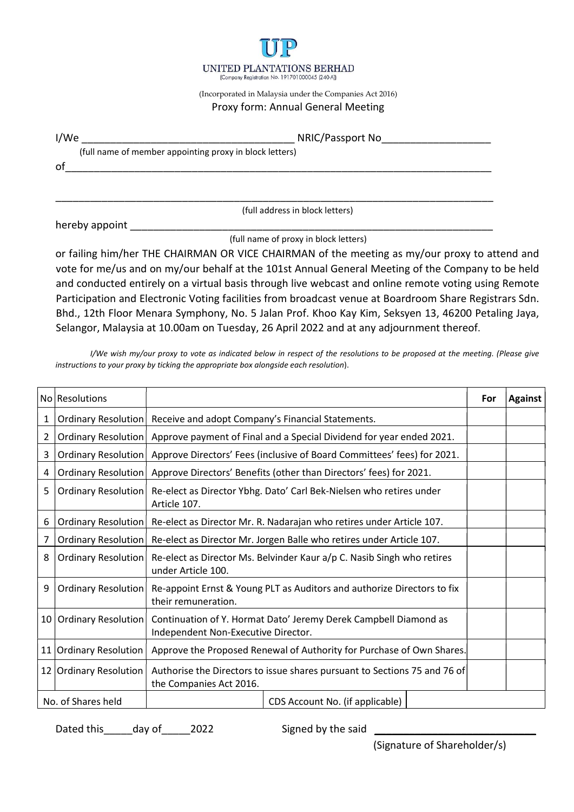

## (Incorporated in Malaysia under the Companies Act 2016) Proxy form: Annual General Meeting

|      | UNITED PLANTATIONS BERHAD<br>(Company Registration No. 191701000045 (240-A))                          |
|------|-------------------------------------------------------------------------------------------------------|
|      | (Incorporated in Malaysia under the Companies Act 2016)<br>Proxy form: Annual General Meeting         |
| I/We |                                                                                                       |
| of   | (full name of member appointing proxy in block letters)                                               |
|      |                                                                                                       |
|      | (full address in block letters)                                                                       |
|      |                                                                                                       |
|      | (full name of proxy in block letters)                                                                 |
|      | or failing him/her THE CHAIRMAN OR VICE CHAIRMAN of the meeting as my/our proxy to attend and         |
|      | vote for me/us and on my/our behalf at the 101st Annual General Meeting of the Company to be held     |
|      | and conducted entirely on a virtual basis through live webcast and online remote voting using Remote  |
|      | Desticientian and Floctscoic Veting facilities from broadcast venue at Deardroom Chase Desistrars Cdn |

or failing him/her THE CHAIRMAN OR VICE CHAIRMAN of the meeting as my/our proxy to attend and VINTED PLANTATIONS BERHAD<br>
VONTED PLANTATIONS BERHAD<br>
(Interpretate in Malaysia under the Company of Strassport No<br>
Proxy form: Annual General Meeting<br>
(full name of member appointing proxy in block letters)<br>
(full name of and conducted entirely on a virtual basis through live webcast and online remote voting using Remote UNITED PLANTATIONS BERHAD<br>
From participation and the Companies Act 2016)<br>
(Toul name of member appointing proxy in block letters)<br>
Proxy form: Annual General Meeting<br>
(Tull name of member appointing proxy in block letters Bhd., 12th Floor Menara Symphony, No. 5 Jalan Prof. Khoo Kay Kim, Seksyen 13, 46200 Petaling Jaya, Selangor, Malaysia at 10.00am on Tuesday, 26 April 2022 and at any adjournment thereof.

|                |                            | (full address in block letters)                                                                                                                                                                    |            |                |
|----------------|----------------------------|----------------------------------------------------------------------------------------------------------------------------------------------------------------------------------------------------|------------|----------------|
|                | hereby appoint             |                                                                                                                                                                                                    |            |                |
|                |                            | (full name of proxy in block letters)                                                                                                                                                              |            |                |
|                |                            | or failing him/her THE CHAIRMAN OR VICE CHAIRMAN of the meeting as my/our proxy to attend and<br>vote for me/us and on my/our behalf at the 101st Annual General Meeting of the Company to be held |            |                |
|                |                            | and conducted entirely on a virtual basis through live webcast and online remote voting using Remote                                                                                               |            |                |
|                |                            | Participation and Electronic Voting facilities from broadcast venue at Boardroom Share Registrars Sdn.                                                                                             |            |                |
|                |                            | Bhd., 12th Floor Menara Symphony, No. 5 Jalan Prof. Khoo Kay Kim, Seksyen 13, 46200 Petaling Jaya,                                                                                                 |            |                |
|                |                            | Selangor, Malaysia at 10.00am on Tuesday, 26 April 2022 and at any adjournment thereof.                                                                                                            |            |                |
|                |                            | I/We wish my/our proxy to vote as indicated below in respect of the resolutions to be proposed at the meeting. (Please give                                                                        |            |                |
|                |                            | instructions to your proxy by ticking the appropriate box alongside each resolution).                                                                                                              |            |                |
|                | No Resolutions             |                                                                                                                                                                                                    |            |                |
|                |                            |                                                                                                                                                                                                    | <b>For</b> | <b>Against</b> |
|                | Ordinary Resolution        | Receive and adopt Company's Financial Statements.                                                                                                                                                  |            |                |
| $\overline{2}$ | <b>Ordinary Resolution</b> | Approve payment of Final and a Special Dividend for year ended 2021.                                                                                                                               |            |                |
| 3              | Ordinary Resolution        | Approve Directors' Fees (inclusive of Board Committees' fees) for 2021.                                                                                                                            |            |                |
| 4              | Ordinary Resolution        | Approve Directors' Benefits (other than Directors' fees) for 2021.                                                                                                                                 |            |                |
| 5              | Ordinary Resolution        | Re-elect as Director Ybhg. Dato' Carl Bek-Nielsen who retires under<br>Article 107.                                                                                                                |            |                |
| 6              | Ordinary Resolution        | Re-elect as Director Mr. R. Nadarajan who retires under Article 107.                                                                                                                               |            |                |
|                | Ordinary Resolution        | Re-elect as Director Mr. Jorgen Balle who retires under Article 107.                                                                                                                               |            |                |
|                | 8   Ordinary Resolution    | Re-elect as Director Ms. Belvinder Kaur a/p C. Nasib Singh who retires<br>under Article 100.                                                                                                       |            |                |
| 9              |                            | Ordinary Resolution  Re-appoint Ernst & Young PLT as Auditors and authorize Directors to fix<br>their remuneration.                                                                                |            |                |
|                | 10 Ordinary Resolution     | Continuation of Y. Hormat Dato' Jeremy Derek Campbell Diamond as<br>Independent Non-Executive Director.                                                                                            |            |                |
|                | 11 Ordinary Resolution     | Approve the Proposed Renewal of Authority for Purchase of Own Shares.                                                                                                                              |            |                |
|                | 12 Ordinary Resolution     | Authorise the Directors to issue shares pursuant to Sections 75 and 76 of<br>the Companies Act 2016.                                                                                               |            |                |
|                | No. of Shares held         | CDS Account No. (if applicable)                                                                                                                                                                    |            |                |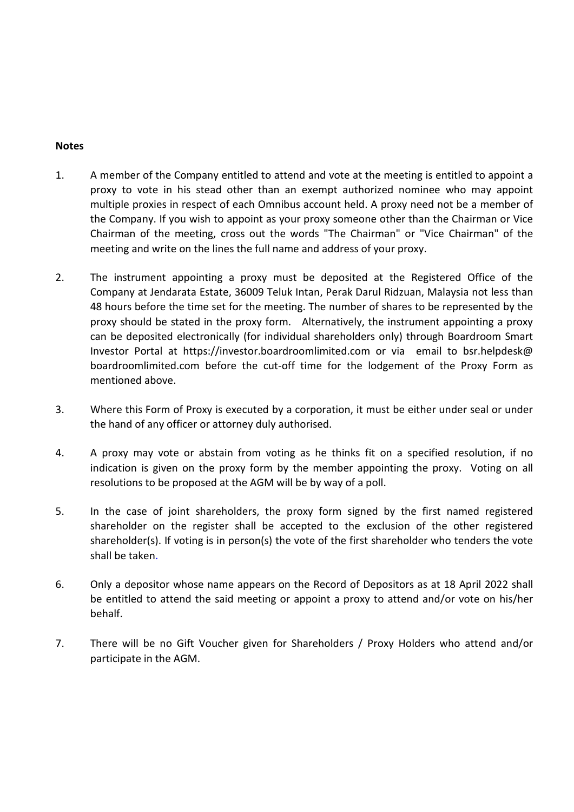## **Notes**

- **Notes**<br>
1. A member of the Company entitled to attend and vote at the meeting is entitled to appoint a<br>
proxy to vote in his stead other than an exempt authorized nominee who may appoint<br>
multiple proxies in respect of ea proxy to vote in his stead other than an exempt authorized nominee who may appoint multiple proxies in respect of each Omnibus account held. A proxy need not be a member of the Company. If you wish to appoint as your proxy someone other than the Chairman or Vice Chairman of the meeting, cross out the words "The Chairman" or "Vice Chairman" of the meeting and write on the lines the full name and address of your proxy. 2.<br>
2. A member of the Company entitled to attend and vote at the meeting is entitled to appoint a<br>
proxy to vote in his stead other than an exempt authorized nomine who may appoint<br>
multiple proxies in respect of each Omi
- Company at Jendarata Estate, 36009 Teluk Intan, Perak Darul Ridzuan, Malaysia not less than 48 hours before the time set for the meeting. The number of shares to be represented by the proxy should be stated in the proxy form. Alternatively, the instrument appointing a proxy can be deposited electronically (for individual shareholders only) through Boardroom Smart Investor Portal at https://investor.boardroomlimited.com or via email to bsr.helpdesk@ boardroomlimited.com before the cut-off time for the lodgement of the Proxy Form as mentioned above. 1.<br>
2. A member of the Company entitled to attend and vote at the meeting is entitled to appoint<br>
proxy to vote in his tsead other than a nexempt authorized nomines who may appoint<br>
multiple proxies in respect of each Omni the Company. If you wish to appoint as your proxy someone other than the Chairman or Vice<br>Chairman of the meeting, cross out the words "The Chairman" or "Vice Chairman" of the<br>meeting and write on the lines the full name a The instrument appointing a proxy must be deposited at the Registered Office of the<br>
Company at Jendarata Estate, 36009 Teluk Intan, Perak Darul Ridziuan, Malayia not less than<br>
48 hours before the time set for the meeting
- the hand of any officer or attorney duly authorised.
- indication is given on the proxy form by the member appointing the proxy. Voting on all resolutions to be proposed at the AGM will be by way of a poll.
- shareholder on the register shall be accepted to the exclusion of the other registered shareholder(s). If voting is in person(s) the vote of the first shareholder who tenders the vote Investor Portal at https://investor.boardroomlimited.com or via email to bsr.helpdesk@<br>boardroomlimited.com before the cut-off time for the lodgement of the Proxy Form as<br>mentioned above.<br>3. Where this Form of Proxy is exe
- be entitled to attend the said meeting or appoint a proxy to attend and/or vote on his/her behalf.
- 7. There will be no Gift Voucher given for Shareholders / Proxy Holders who attend and/or participate in the AGM.